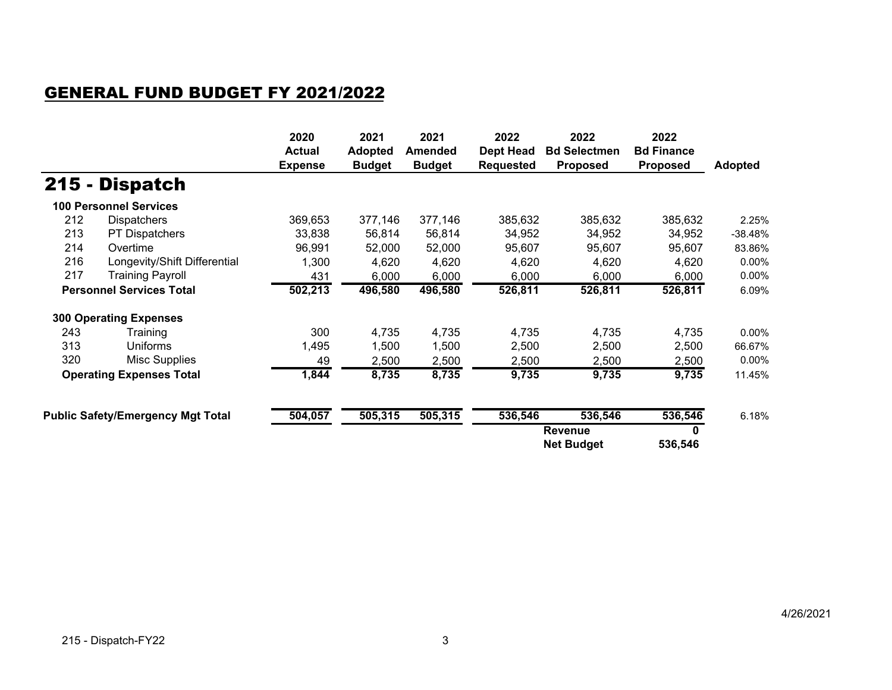## GENERAL FUND BUDGET FY 2021/2022

|                                 |                                          | 2020<br><b>Actual</b><br><b>Expense</b> | 2021<br><b>Adopted</b><br><b>Budget</b> | 2021<br>Amended<br><b>Budget</b> | 2022<br><b>Dept Head</b><br><b>Requested</b> | 2022<br><b>Bd Selectmen</b><br><b>Proposed</b> | 2022<br><b>Bd Finance</b><br><b>Proposed</b> | <b>Adopted</b> |
|---------------------------------|------------------------------------------|-----------------------------------------|-----------------------------------------|----------------------------------|----------------------------------------------|------------------------------------------------|----------------------------------------------|----------------|
|                                 | 215 - Dispatch                           |                                         |                                         |                                  |                                              |                                                |                                              |                |
|                                 | <b>100 Personnel Services</b>            |                                         |                                         |                                  |                                              |                                                |                                              |                |
| 212                             | <b>Dispatchers</b>                       | 369,653                                 | 377,146                                 | 377,146                          | 385,632                                      | 385,632                                        | 385,632                                      | 2.25%          |
| 213                             | <b>PT Dispatchers</b>                    | 33,838                                  | 56,814                                  | 56,814                           | 34,952                                       | 34,952                                         | 34,952                                       | -38.48%        |
| 214                             | Overtime                                 | 96,991                                  | 52,000                                  | 52,000                           | 95,607                                       | 95,607                                         | 95,607                                       | 83.86%         |
| 216                             | Longevity/Shift Differential             | 1,300                                   | 4,620                                   | 4,620                            | 4,620                                        | 4,620                                          | 4,620                                        | 0.00%          |
| 217                             | Training Payroll                         | 431                                     | 6,000                                   | 6,000                            | 6,000                                        | 6,000                                          | 6,000                                        | 0.00%          |
| <b>Personnel Services Total</b> |                                          | 502,213                                 | 496,580                                 | 496,580                          | 526,811                                      | 526,811                                        | 526,811                                      | 6.09%          |
|                                 | <b>300 Operating Expenses</b>            |                                         |                                         |                                  |                                              |                                                |                                              |                |
| 243                             | Training                                 | 300                                     | 4,735                                   | 4,735                            | 4,735                                        | 4,735                                          | 4,735                                        | 0.00%          |
| 313                             | <b>Uniforms</b>                          | 1,495                                   | 1,500                                   | 1,500                            | 2,500                                        | 2,500                                          | 2,500                                        | 66.67%         |
| 320                             | Misc Supplies                            | 49                                      | 2,500                                   | 2,500                            | 2,500                                        | 2,500                                          | 2,500                                        | 0.00%          |
|                                 | <b>Operating Expenses Total</b>          | 1,844                                   | 8,735                                   | 8,735                            | 9,735                                        | 9,735                                          | 9,735                                        | 11.45%         |
|                                 | <b>Public Safety/Emergency Mgt Total</b> | 504,057                                 | 505,315                                 | 505,315                          | 536,546                                      | 536,546                                        | 536,546                                      | 6.18%          |
|                                 |                                          |                                         |                                         |                                  |                                              | Revenue<br><b>Net Budget</b>                   | 0<br>536,546                                 |                |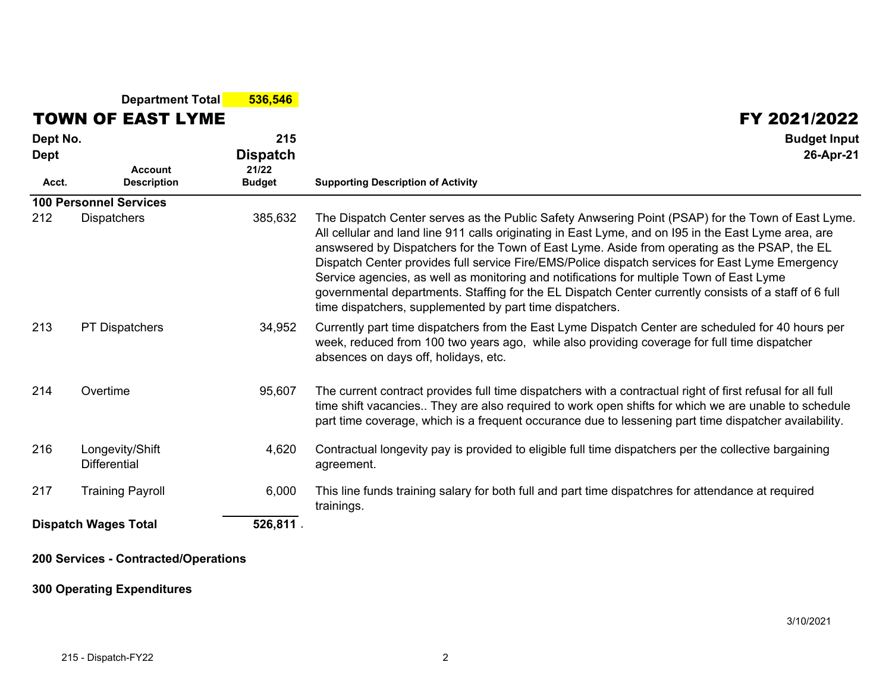|                                         | <b>Department Total</b>                | 536,546                                          |                                                                                                                                                                                                                                                                                                                                                                                                                                                                                                                                                                                                                                                                               |
|-----------------------------------------|----------------------------------------|--------------------------------------------------|-------------------------------------------------------------------------------------------------------------------------------------------------------------------------------------------------------------------------------------------------------------------------------------------------------------------------------------------------------------------------------------------------------------------------------------------------------------------------------------------------------------------------------------------------------------------------------------------------------------------------------------------------------------------------------|
|                                         | <b>TOWN OF EAST LYME</b>               |                                                  | FY 2021/2022                                                                                                                                                                                                                                                                                                                                                                                                                                                                                                                                                                                                                                                                  |
| Dept No.<br><b>Dept</b><br>Acct.        | <b>Account</b><br><b>Description</b>   | 215<br><b>Dispatch</b><br>21/22<br><b>Budget</b> | <b>Budget Input</b><br>26-Apr-21<br><b>Supporting Description of Activity</b>                                                                                                                                                                                                                                                                                                                                                                                                                                                                                                                                                                                                 |
|                                         | <b>100 Personnel Services</b>          |                                                  |                                                                                                                                                                                                                                                                                                                                                                                                                                                                                                                                                                                                                                                                               |
| 212                                     | <b>Dispatchers</b>                     | 385,632                                          | The Dispatch Center serves as the Public Safety Anwsering Point (PSAP) for the Town of East Lyme.<br>All cellular and land line 911 calls originating in East Lyme, and on 195 in the East Lyme area, are<br>answsered by Dispatchers for the Town of East Lyme. Aside from operating as the PSAP, the EL<br>Dispatch Center provides full service Fire/EMS/Police dispatch services for East Lyme Emergency<br>Service agencies, as well as monitoring and notifications for multiple Town of East Lyme<br>governmental departments. Staffing for the EL Dispatch Center currently consists of a staff of 6 full<br>time dispatchers, supplemented by part time dispatchers. |
| 213                                     | <b>PT Dispatchers</b>                  | 34,952                                           | Currently part time dispatchers from the East Lyme Dispatch Center are scheduled for 40 hours per<br>week, reduced from 100 two years ago, while also providing coverage for full time dispatcher<br>absences on days off, holidays, etc.                                                                                                                                                                                                                                                                                                                                                                                                                                     |
| 214                                     | Overtime                               | 95,607                                           | The current contract provides full time dispatchers with a contractual right of first refusal for all full<br>time shift vacancies They are also required to work open shifts for which we are unable to schedule<br>part time coverage, which is a frequent occurance due to lessening part time dispatcher availability.                                                                                                                                                                                                                                                                                                                                                    |
| 216                                     | Longevity/Shift<br><b>Differential</b> | 4,620                                            | Contractual longevity pay is provided to eligible full time dispatchers per the collective bargaining<br>agreement.                                                                                                                                                                                                                                                                                                                                                                                                                                                                                                                                                           |
| 217                                     | <b>Training Payroll</b>                | 6,000                                            | This line funds training salary for both full and part time dispatchres for attendance at required<br>trainings.                                                                                                                                                                                                                                                                                                                                                                                                                                                                                                                                                              |
| 526,811.<br><b>Dispatch Wages Total</b> |                                        |                                                  |                                                                                                                                                                                                                                                                                                                                                                                                                                                                                                                                                                                                                                                                               |

## **200 Services - Contracted/Operations**

## **300 Operating Expenditures**